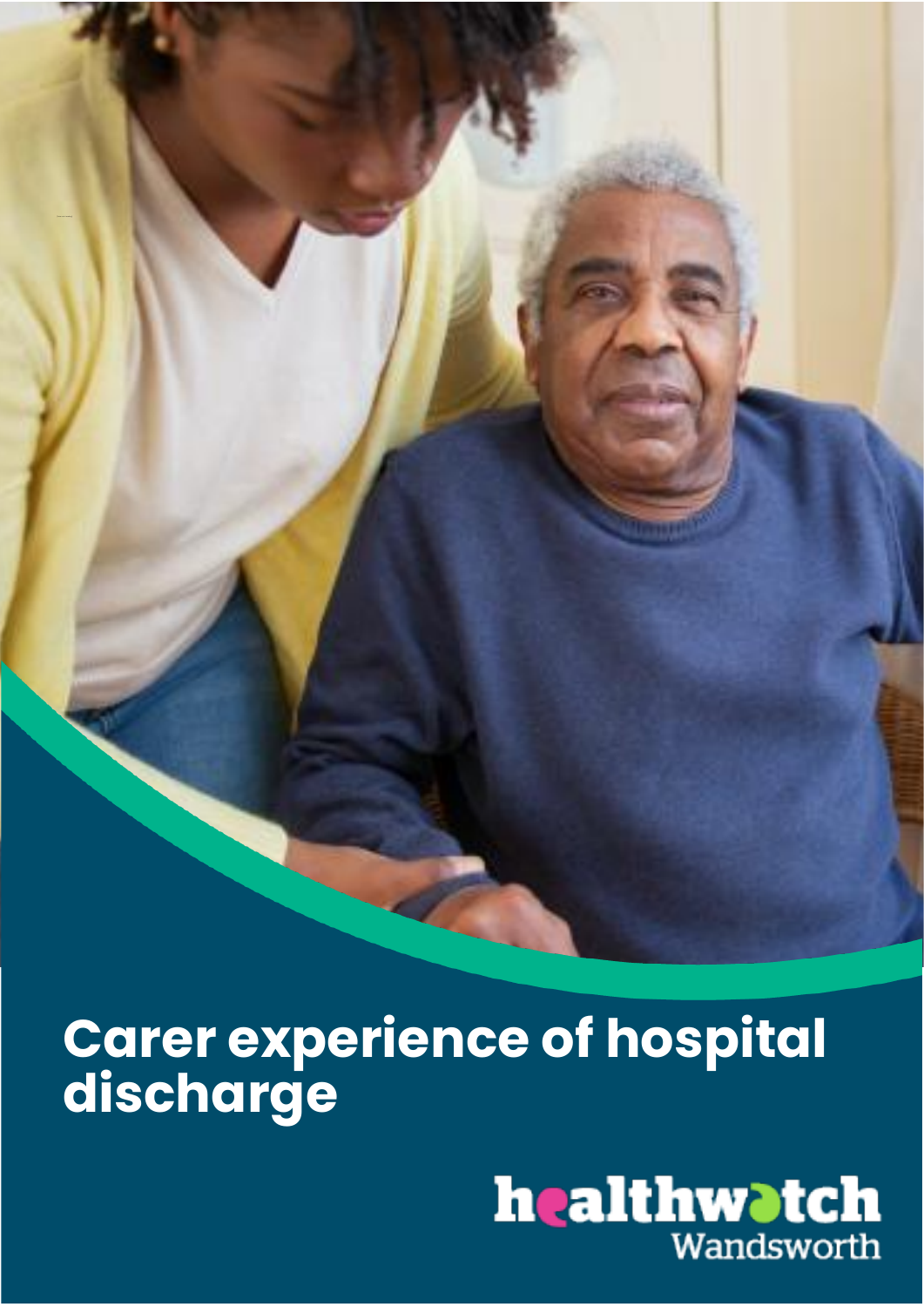**Carer experience of hospital discharge**

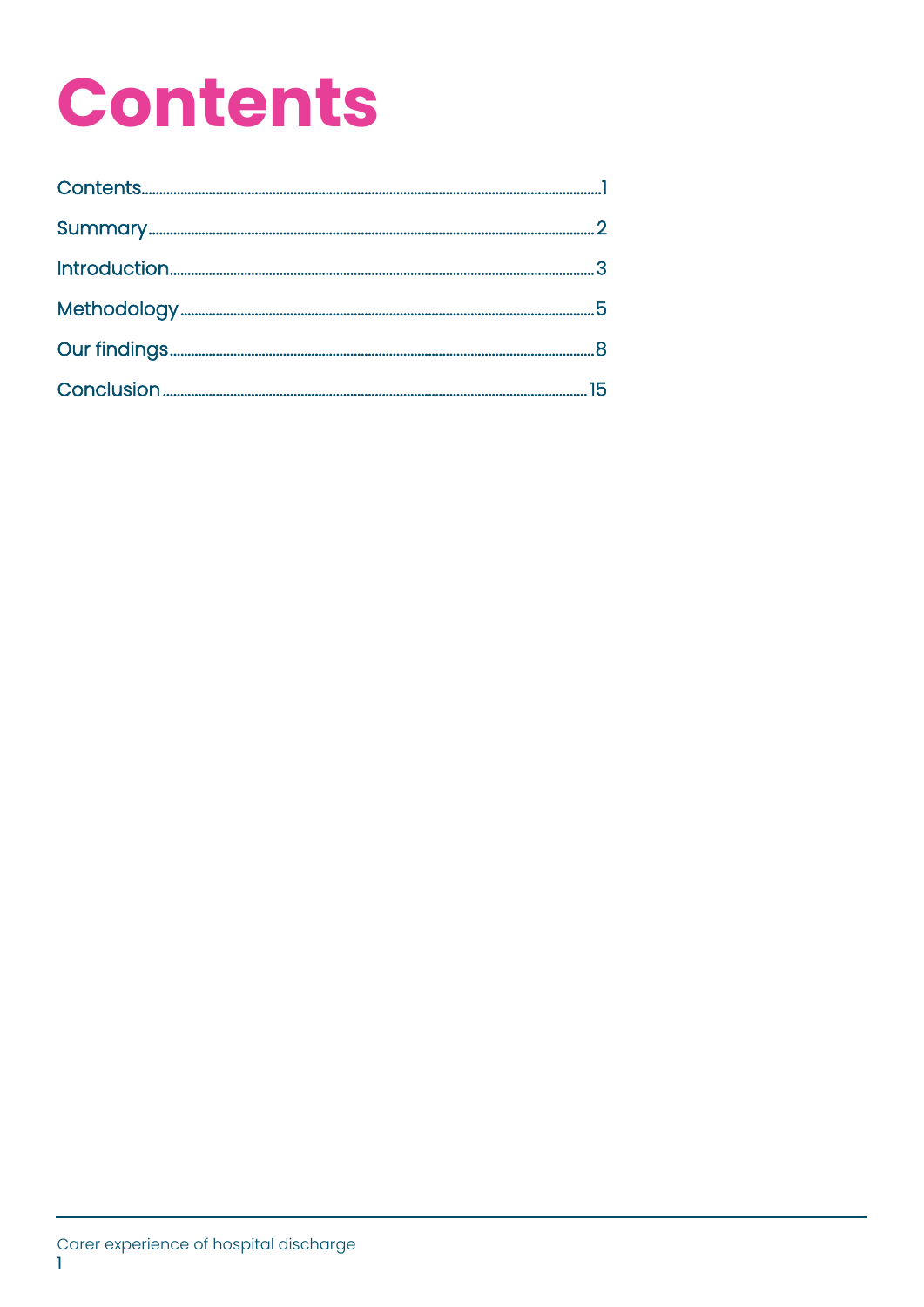## **Contents**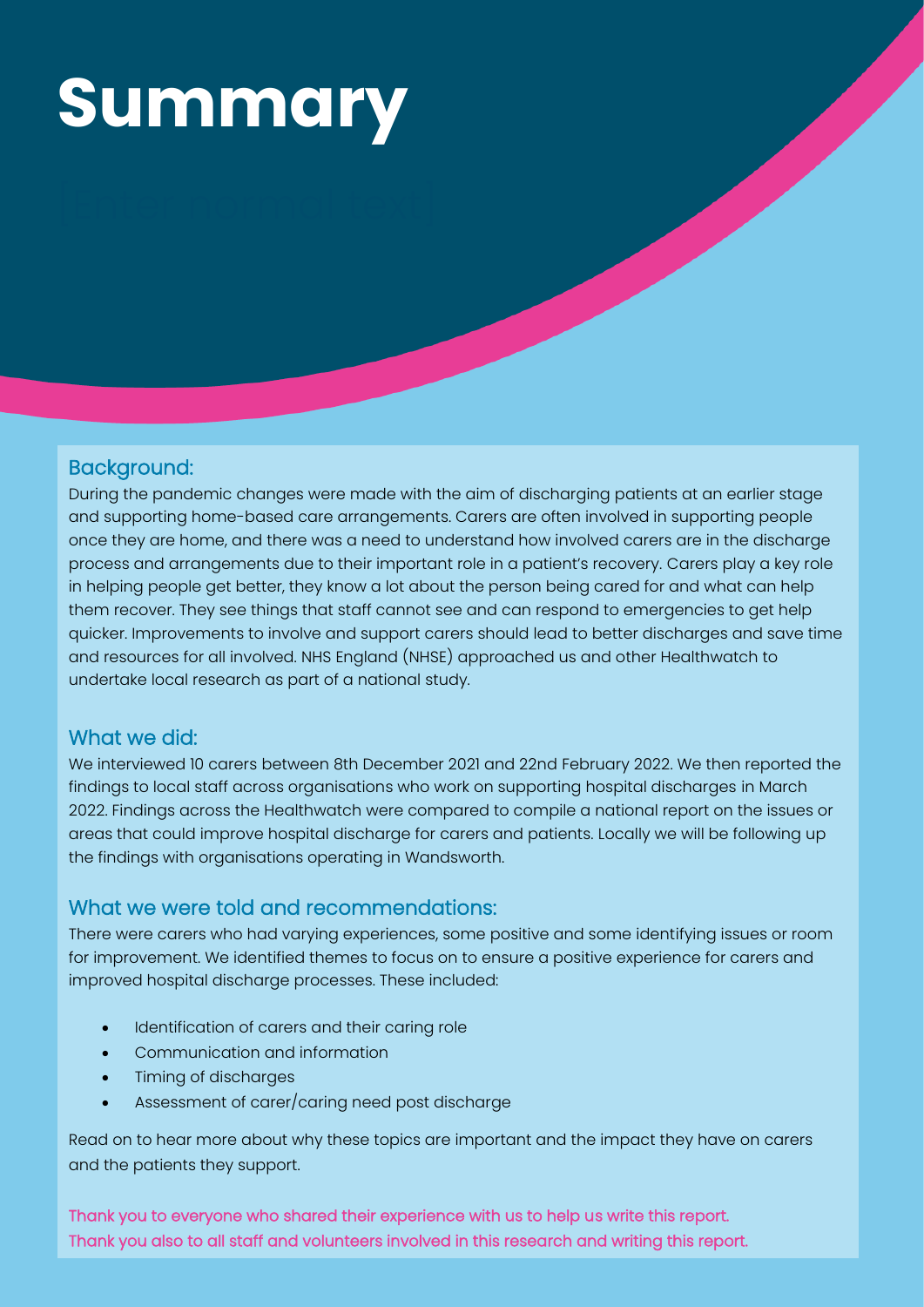## **Summary**

### Background:

During the pandemic changes were made with the aim of discharging patients at an earlier stage and supporting home-based care arrangements. Carers are often involved in supporting people once they are home, and there was a need to understand how involved carers are in the discharge process and arrangements due to their important role in a patient's recovery. Carers play a key role in helping people get better, they know a lot about the person being cared for and what can help them recover. They see things that staff cannot see and can respond to emergencies to get help quicker. Improvements to involve and support carers should lead to better discharges and save time and resources for all involved. NHS England (NHSE) approached us and other Healthwatch to undertake local research as part of a national study.

### What we did:

We interviewed 10 carers between 8th December 2021 and 22nd February 2022. We then reported the findings to local staff across organisations who work on supporting hospital discharges in March 2022. Findings across the Healthwatch were compared to compile a national report on the issues or areas that could improve hospital discharge for carers and patients. Locally we will be following up the findings with organisations operating in Wandsworth.

### What we were told and recommendations:

There were carers who had varying experiences, some positive and some identifying issues or room for improvement. We identified themes to focus on to ensure a positive experience for carers and improved hospital discharge processes. These included:

- Identification of carers and their caring role
- Communication and information
- Timing of discharges
- Assessment of carer/caring need post discharge

Read on to hear more about why these topics are important and the impact they have on carers and the patients they support.

Thank you also to all staff and volunteers involved in this research and writing this report. Thank you to everyone who shared their experience with us to help us write this report.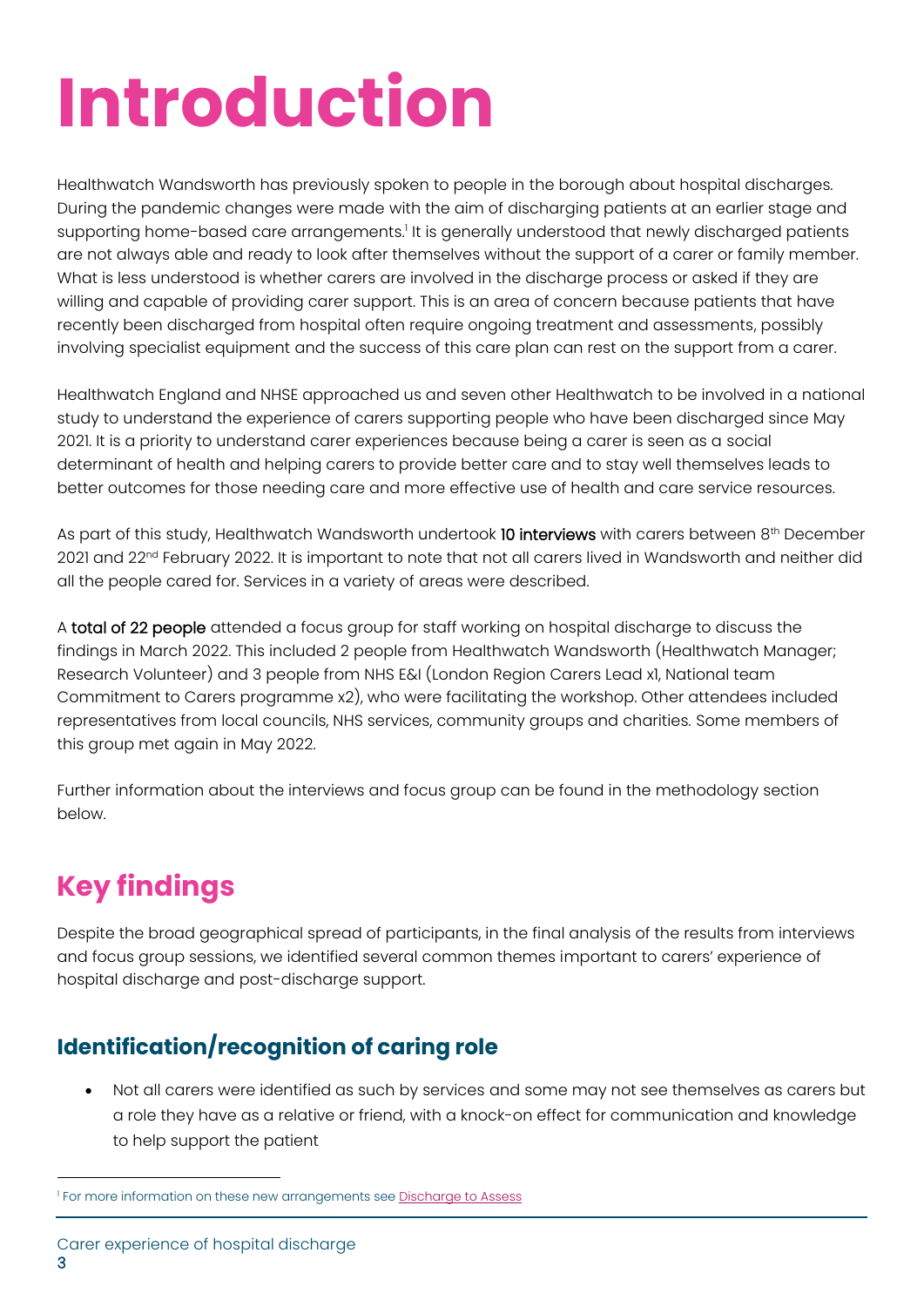## **Introduction**

Healthwatch Wandsworth has previously spoken to people in the borough about hospital discharges. During the pandemic changes were made with the aim of discharging patients at an earlier stage and supporting home-based care arrangements.<sup>1</sup> It is generally understood that newly discharged patients are not always able and ready to look after themselves without the support of a carer or family member. What is less understood is whether carers are involved in the discharge process or asked if they are willing and capable of providing carer support. This is an area of concern because patients that have recently been discharged from hospital often require ongoing treatment and assessments, possibly involving specialist equipment and the success of this care plan can rest on the support from a carer.

Healthwatch England and NHSE approached us and seven other Healthwatch to be involved in a national study to understand the experience of carers supporting people who have been discharged since May 2021. It is a priority to understand carer experiences because being a carer is seen as a social determinant of health and helping carers to provide better care and to stay well themselves leads to better outcomes for those needing care and more effective use of health and care service resources.

As part of this study, Healthwatch Wandsworth undertook 10 interviews with carers between 8<sup>th</sup> December 2021 and 22<sup>nd</sup> February 2022. It is important to note that not all carers lived in Wandsworth and neither did all the people cared for. Services in a variety of areas were described.

A total of 22 people attended a focus group for staff working on hospital discharge to discuss the findings in March 2022. This included 2 people from Healthwatch Wandsworth (Healthwatch Manager; Research Volunteer) and 3 people from NHS E&I (London Region Carers Lead x1, National team Commitment to Carers programme x2), who were facilitating the workshop. Other attendees included representatives from local councils, NHS services, community groups and charities. Some members of this group met again in May 2022.

Further information about the interviews and focus group can be found in the methodology section below.

## **Key findings**

Despite the broad geographical spread of participants, in the final analysis of the results from interviews and focus group sessions, we identified several common themes important to carers' experience of hospital discharge and post-discharge support.

### **Identification/recognition of caring role**

• Not all carers were identified as such by services and some may not see themselves as carers but a role they have as a relative or friend, with a knock-on effect for communication and knowledge to help support the patient

<sup>&</sup>lt;sup>1</sup> For more information on these new arrangements see <u>Discharge to Assess</u>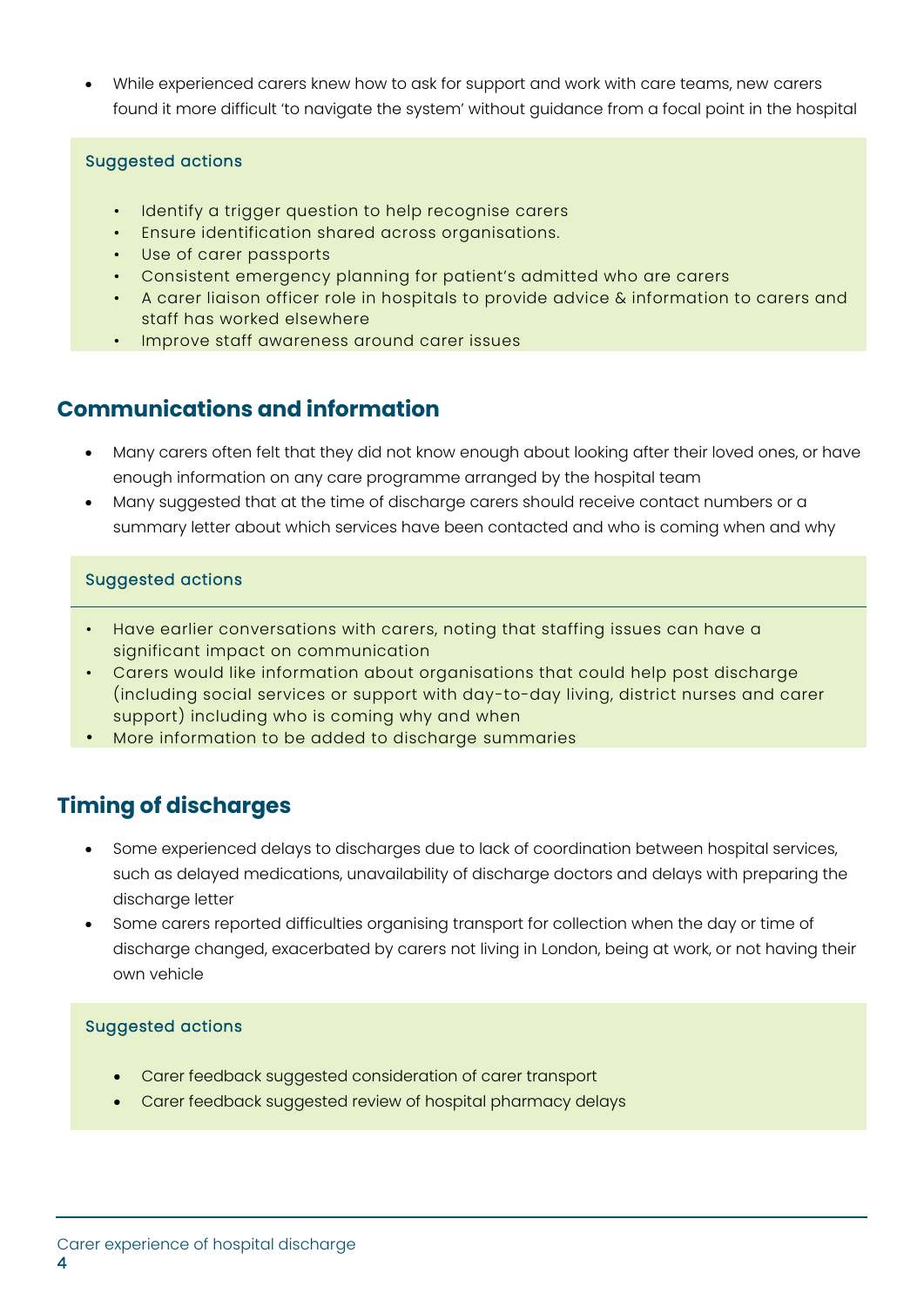• While experienced carers knew how to ask for support and work with care teams, new carers found it more difficult 'to navigate the system' without guidance from a focal point in the hospital

#### Suggested actions

- Identify a trigger question to help recognise carers
- Ensure identification shared across organisations.
- Use of carer passports
- Consistent emergency planning for patient's admitted who are carers
- A carer liaison officer role in hospitals to provide advice & information to carers and staff has worked elsewhere
- Improve staff awareness around carer issues

### **Communications and information**

- Many carers often felt that they did not know enough about looking after their loved ones, or have enough information on any care programme arranged by the hospital team
- Many suggested that at the time of discharge carers should receive contact numbers or a summary letter about which services have been contacted and who is coming when and why

#### Suggested actions

- Have earlier conversations with carers, noting that staffing issues can have a significant impact on communication
- Carers would like information about organisations that could help post discharge (including social services or support with day-to-day living, district nurses and carer support) including who is coming why and when
- More information to be added to discharge summaries

### **Timing of discharges**

- Some experienced delays to discharges due to lack of coordination between hospital services, such as delayed medications, unavailability of discharge doctors and delays with preparing the discharge letter
- Some carers reported difficulties organising transport for collection when the day or time of discharge changed, exacerbated by carers not living in London, being at work, or not having their own vehicle

#### Suggested actions

- Carer feedback suggested consideration of carer transport
- Carer feedback suggested review of hospital pharmacy delays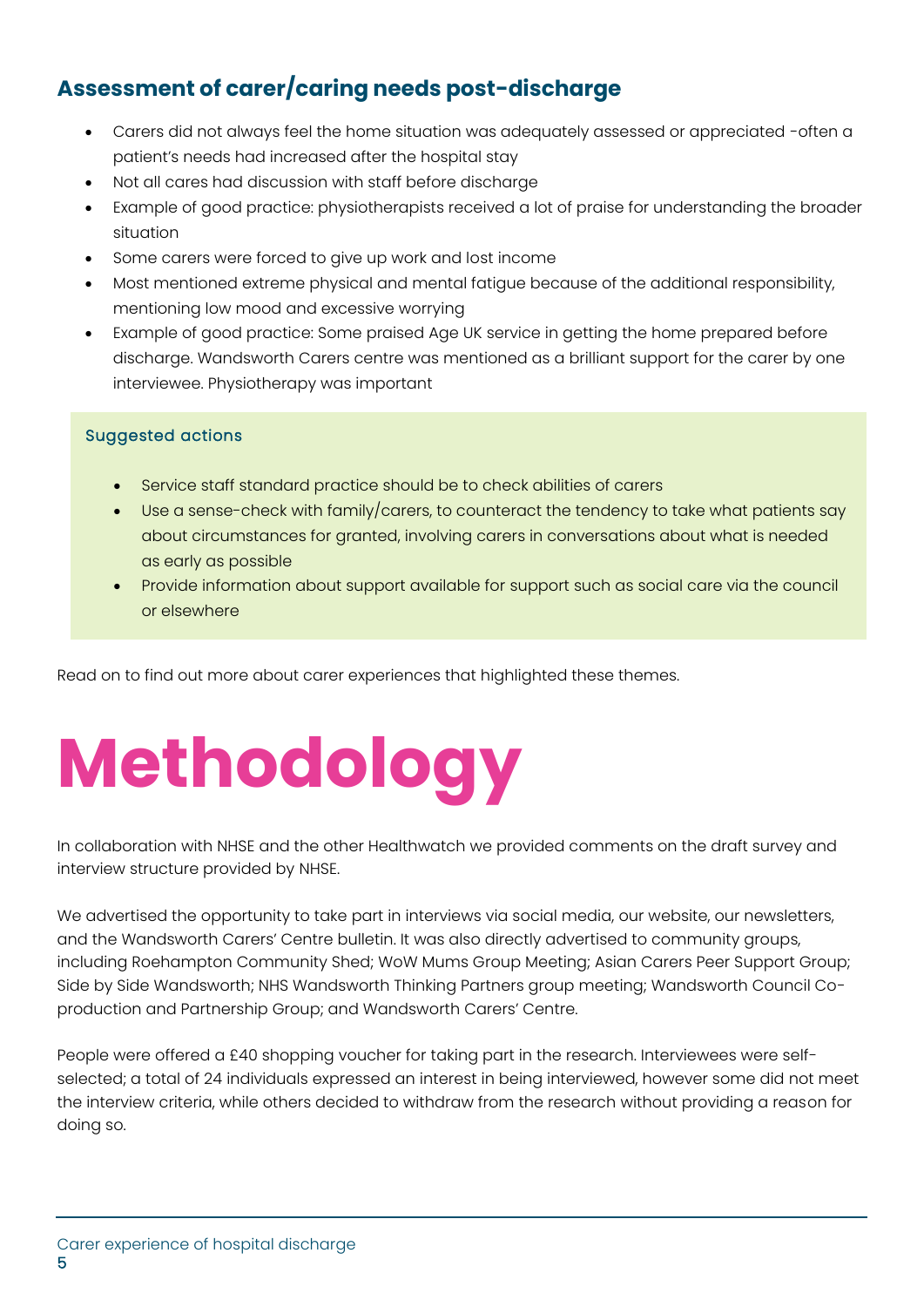### **Assessment of carer/caring needs post-discharge**

- Carers did not always feel the home situation was adequately assessed or appreciated -often a patient's needs had increased after the hospital stay
- Not all cares had discussion with staff before discharge
- Example of good practice: physiotherapists received a lot of praise for understanding the broader situation
- Some carers were forced to give up work and lost income
- Most mentioned extreme physical and mental fatigue because of the additional responsibility, mentioning low mood and excessive worrying
- Example of good practice: Some praised Age UK service in getting the home prepared before discharge. Wandsworth Carers centre was mentioned as a brilliant support for the carer by one interviewee. Physiotherapy was important

#### Suggested actions

- Service staff standard practice should be to check abilities of carers
- Use a sense-check with family/carers, to counteract the tendency to take what patients say about circumstances for granted, involving carers in conversations about what is needed as early as possible
- Provide information about support available for support such as social care via the council or elsewhere

Read on to find out more about carer experiences that highlighted these themes.

# **Methodology**

In collaboration with NHSE and the other Healthwatch we provided comments on the draft survey and interview structure provided by NHSE.

We advertised the opportunity to take part in interviews via social media, our website, our newsletters, and the Wandsworth Carers' Centre bulletin. It was also directly advertised to community groups, including Roehampton Community Shed; WoW Mums Group Meeting; Asian Carers Peer Support Group; Side by Side Wandsworth; NHS Wandsworth Thinking Partners group meeting; Wandsworth Council Coproduction and Partnership Group; and Wandsworth Carers' Centre.

People were offered a £40 shopping voucher for taking part in the research. Interviewees were selfselected; a total of 24 individuals expressed an interest in being interviewed, however some did not meet the interview criteria, while others decided to withdraw from the research without providing a reason for doing so.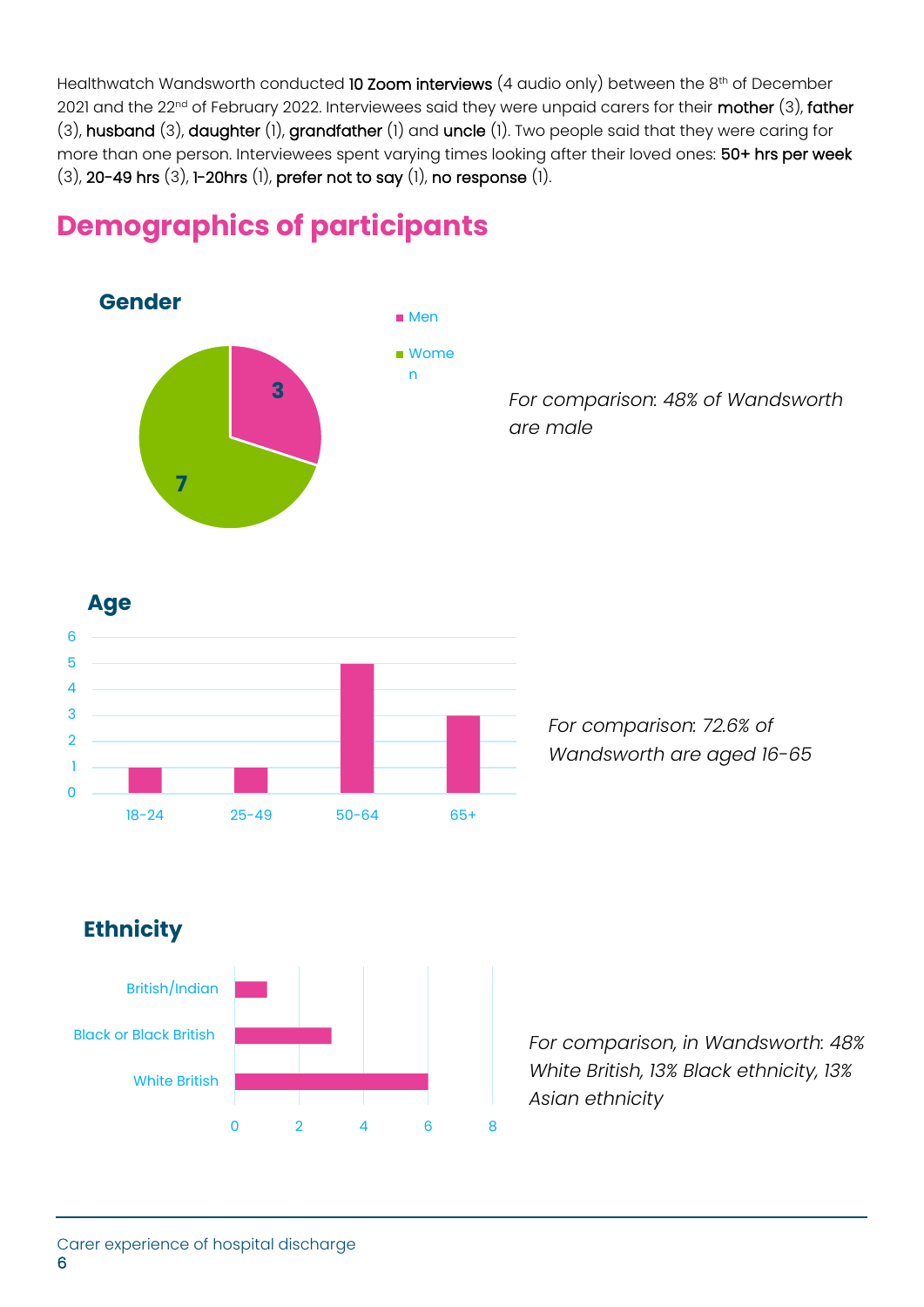Healthwatch Wandsworth conducted 10 Zoom interviews (4 audio only) between the 8<sup>th</sup> of December 2021 and the 22<sup>nd</sup> of February 2022. Interviewees said they were unpaid carers for their mother (3), father (3), husband (3), daughter (1), grandfather (1) and uncle (1). Two people said that they were caring for more than one person. Interviewees spent varying times looking after their loved ones: 50+ hrs per week (3), 20-49 hrs (3), 1-20hrs (1), prefer not to say (1), no response (1).



### **Demographics of participants**





*For comparison: 72.6% of Wandsworth are aged 16-65*

### **Ethnicity**



*For comparison, in Wandsworth: 48% White British, 13% Black ethnicity, 13% Asian ethnicity*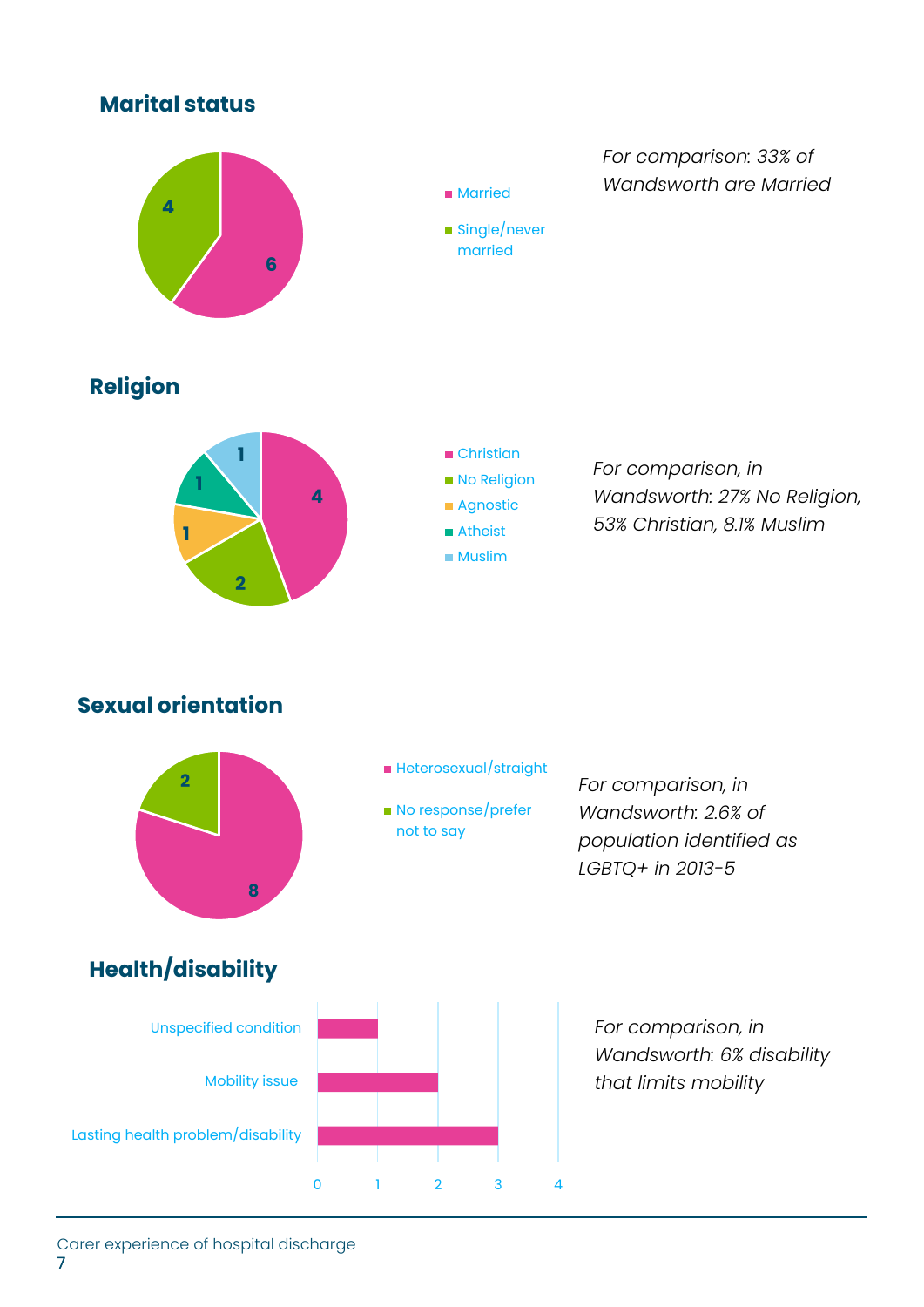### **Marital status**



**Married** 

■ Single/never married

*For comparison: 33% of Wandsworth are Married*

### **Religion**





*For comparison, in Wandsworth: 27% No Religion, 53% Christian, 8.1% Muslim*

### **Sexual orientation**



- Heterosexual/straight
- No response/prefer not to say

*For comparison, in Wandsworth: 2.6% of population identified as LGBTQ+ in 2013-5*

### **Health/disability**



*For comparison, in Wandsworth: 6% disability that limits mobility*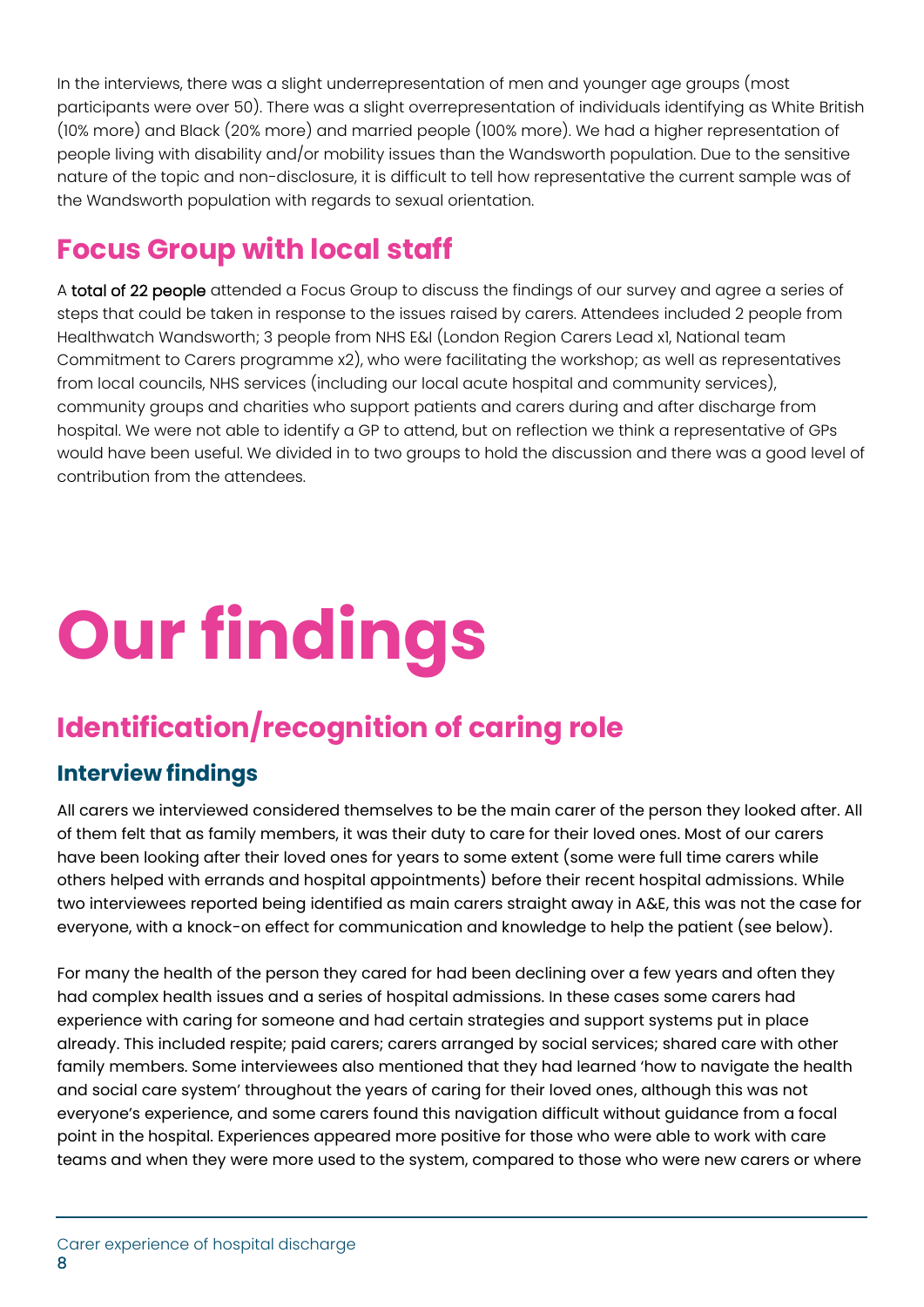In the interviews, there was a slight underrepresentation of men and younger age groups (most participants were over 50). There was a slight overrepresentation of individuals identifying as White British (10% more) and Black (20% more) and married people (100% more). We had a higher representation of people living with disability and/or mobility issues than the Wandsworth population. Due to the sensitive nature of the topic and non-disclosure, it is difficult to tell how representative the current sample was of the Wandsworth population with regards to sexual orientation.

### **Focus Group with local staff**

A total of 22 people attended a Focus Group to discuss the findings of our survey and agree a series of steps that could be taken in response to the issues raised by carers. Attendees included 2 people from Healthwatch Wandsworth; 3 people from NHS E&I (London Region Carers Lead x1, National team Commitment to Carers programme x2), who were facilitating the workshop; as well as representatives from local councils, NHS services (including our local acute hospital and community services), community groups and charities who support patients and carers during and after discharge from hospital. We were not able to identify a GP to attend, but on reflection we think a representative of GPs would have been useful. We divided in to two groups to hold the discussion and there was a good level of contribution from the attendees.

# **Our findings**

## **Identification/recognition of caring role**

### **Interview findings**

All carers we interviewed considered themselves to be the main carer of the person they looked after. All of them felt that as family members, it was their duty to care for their loved ones. Most of our carers have been looking after their loved ones for years to some extent (some were full time carers while others helped with errands and hospital appointments) before their recent hospital admissions. While two interviewees reported being identified as main carers straight away in A&E, this was not the case for everyone, with a knock-on effect for communication and knowledge to help the patient (see below).

For many the health of the person they cared for had been declining over a few years and often they had complex health issues and a series of hospital admissions. In these cases some carers had experience with caring for someone and had certain strategies and support systems put in place already. This included respite; paid carers; carers arranged by social services; shared care with other family members. Some interviewees also mentioned that they had learned 'how to navigate the health and social care system' throughout the years of caring for their loved ones, although this was not everyone's experience, and some carers found this navigation difficult without guidance from a focal point in the hospital. Experiences appeared more positive for those who were able to work with care teams and when they were more used to the system, compared to those who were new carers or where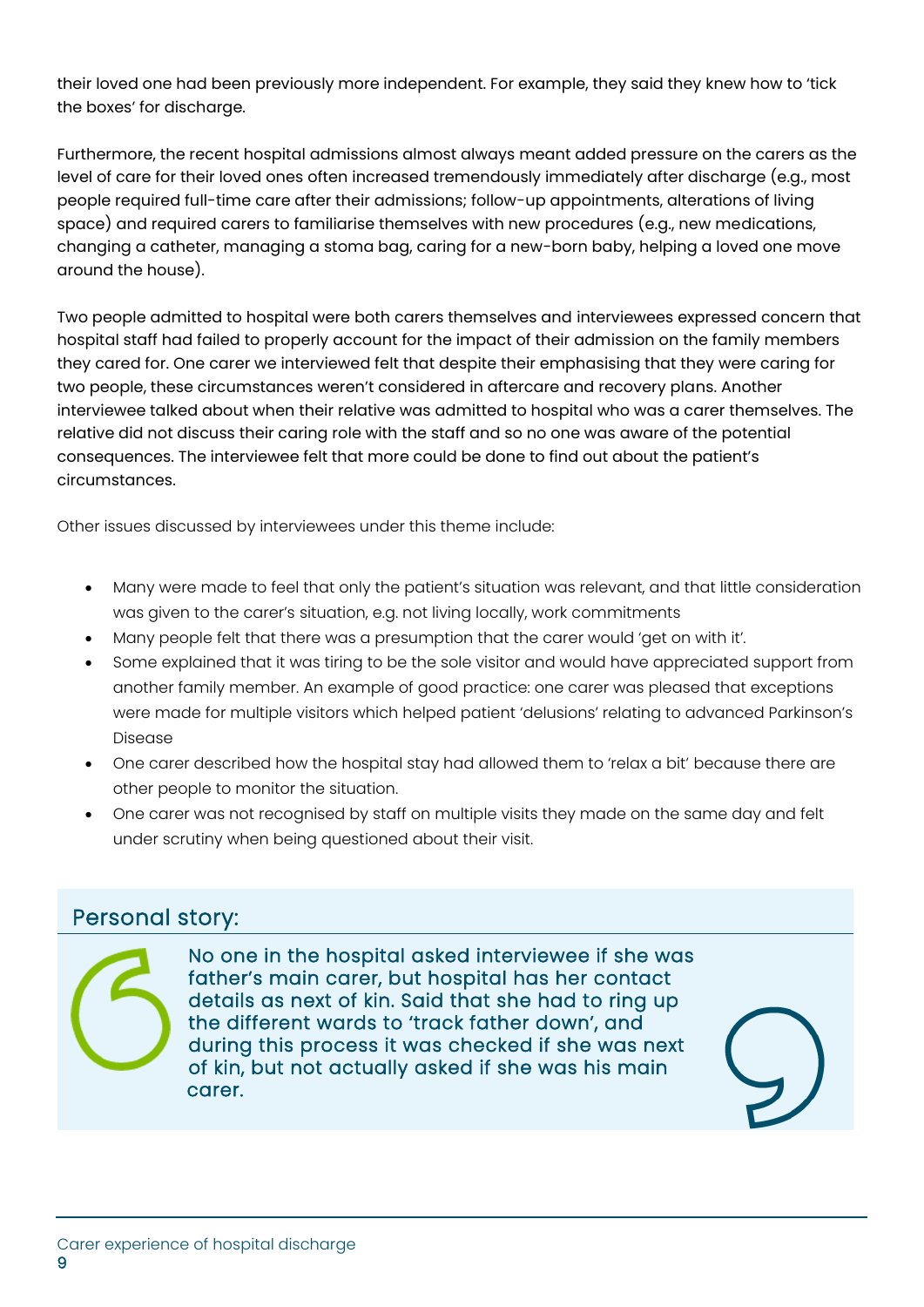their loved one had been previously more independent. For example, they said they knew how to 'tick the boxes' for discharge.

Furthermore, the recent hospital admissions almost always meant added pressure on the carers as the level of care for their loved ones often increased tremendously immediately after discharge (e.g., most people required full-time care after their admissions; follow-up appointments, alterations of living space) and required carers to familiarise themselves with new procedures (e.g., new medications, changing a catheter, managing a stoma bag, caring for a new-born baby, helping a loved one move around the house).

Two people admitted to hospital were both carers themselves and interviewees expressed concern that hospital staff had failed to properly account for the impact of their admission on the family members they cared for. One carer we interviewed felt that despite their emphasising that they were caring for two people, these circumstances weren't considered in aftercare and recovery plans. Another interviewee talked about when their relative was admitted to hospital who was a carer themselves. The relative did not discuss their caring role with the staff and so no one was aware of the potential consequences. The interviewee felt that more could be done to find out about the patient's circumstances.

Other issues discussed by interviewees under this theme include:

- Many were made to feel that only the patient's situation was relevant, and that little consideration was given to the carer's situation, e.g. not living locally, work commitments
- Many people felt that there was a presumption that the carer would 'get on with it'.
- Some explained that it was tiring to be the sole visitor and would have appreciated support from another family member. An example of good practice: one carer was pleased that exceptions were made for multiple visitors which helped patient 'delusions' relating to advanced Parkinson's Disease
- One carer described how the hospital stay had allowed them to 'relax a bit' because there are other people to monitor the situation.
- One carer was not recognised by staff on multiple visits they made on the same day and felt under scrutiny when being questioned about their visit.

### Personal story:

No one in the hospital asked interviewee if she was father's main carer, but hospital has her contact details as next of kin. Said that she had to ring up the different wards to 'track father down', and during this process it was checked if she was next of kin, but not actually asked if she was his main carer.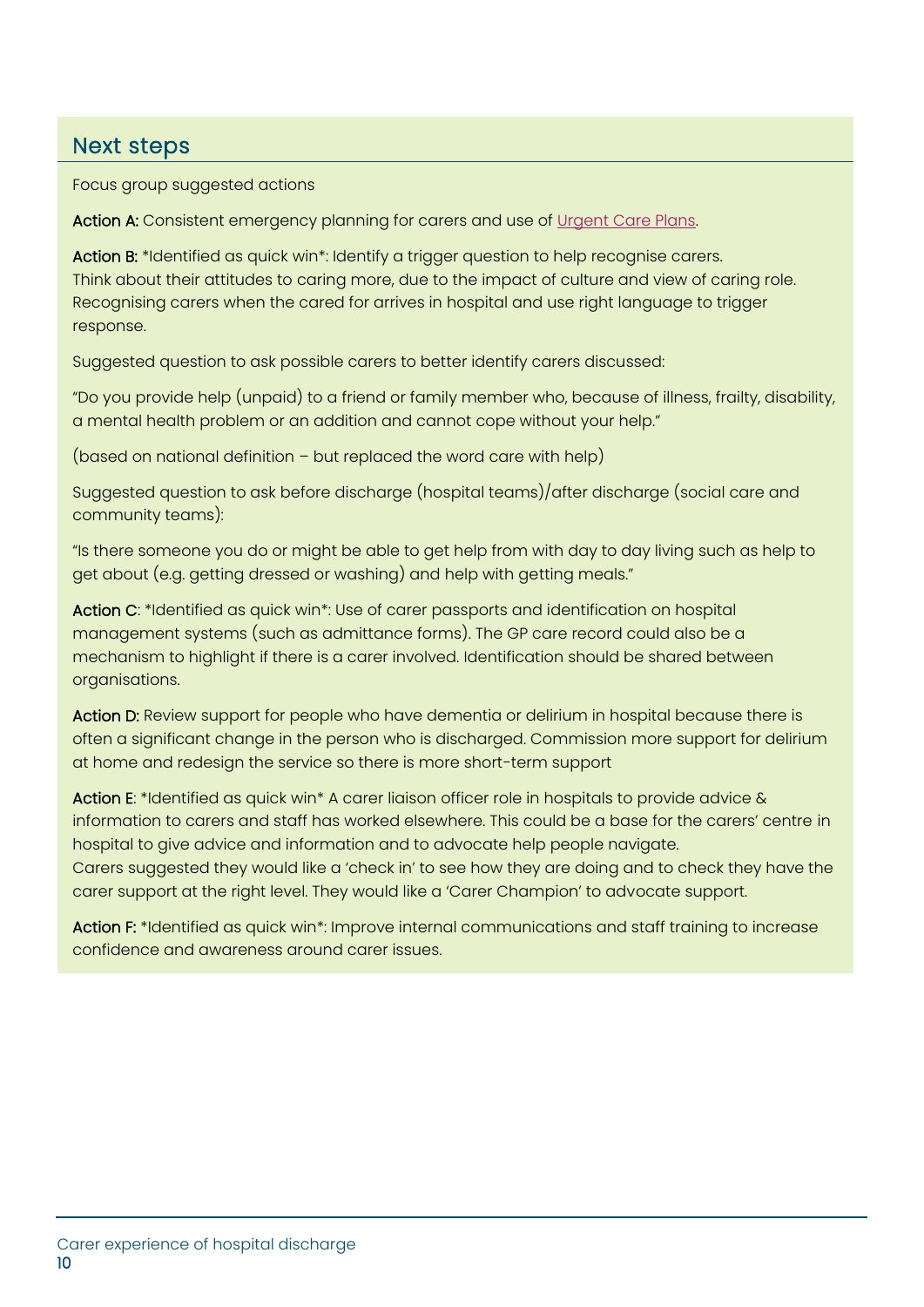### Next steps

Focus group suggested actions

Action A: Consistent emergency planning for carers and use of [Urgent Care Plans.](https://www.swlondon.nhs.uk/wp-content/uploads/2022/01/UCP-FAQs-v2.18-1.pdf?msclkid=a8147518a5d111ecae31a074360f0573)

Action B: \*Identified as quick win\*: Identify a trigger question to help recognise carers. Think about their attitudes to caring more, due to the impact of culture and view of caring role. Recognising carers when the cared for arrives in hospital and use right language to trigger response.

Suggested question to ask possible carers to better identify carers discussed:

"Do you provide help (unpaid) to a friend or family member who, because of illness, frailty, disability, a mental health problem or an addition and cannot cope without your help."

(based on national definition – but replaced the word care with help)

Suggested question to ask before discharge (hospital teams)/after discharge (social care and community teams):

"Is there someone you do or might be able to get help from with day to day living such as help to get about (e.g. getting dressed or washing) and help with getting meals."

Action C: \*Identified as quick win\*: Use of carer passports and identification on hospital management systems (such as admittance forms). The GP care record could also be a mechanism to highlight if there is a carer involved. Identification should be shared between organisations.

Action D: Review support for people who have dementia or delirium in hospital because there is often a significant change in the person who is discharged. Commission more support for delirium at home and redesign the service so there is more short-term support

Action E: \*Identified as quick win\* A carer liaison officer role in hospitals to provide advice & information to carers and staff has worked elsewhere. This could be a base for the carers' centre in hospital to give advice and information and to advocate help people navigate. Carers suggested they would like a 'check in' to see how they are doing and to check they have the carer support at the right level. They would like a 'Carer Champion' to advocate support.

Action F: \*Identified as quick win\*: Improve internal communications and staff training to increase confidence and awareness around carer issues.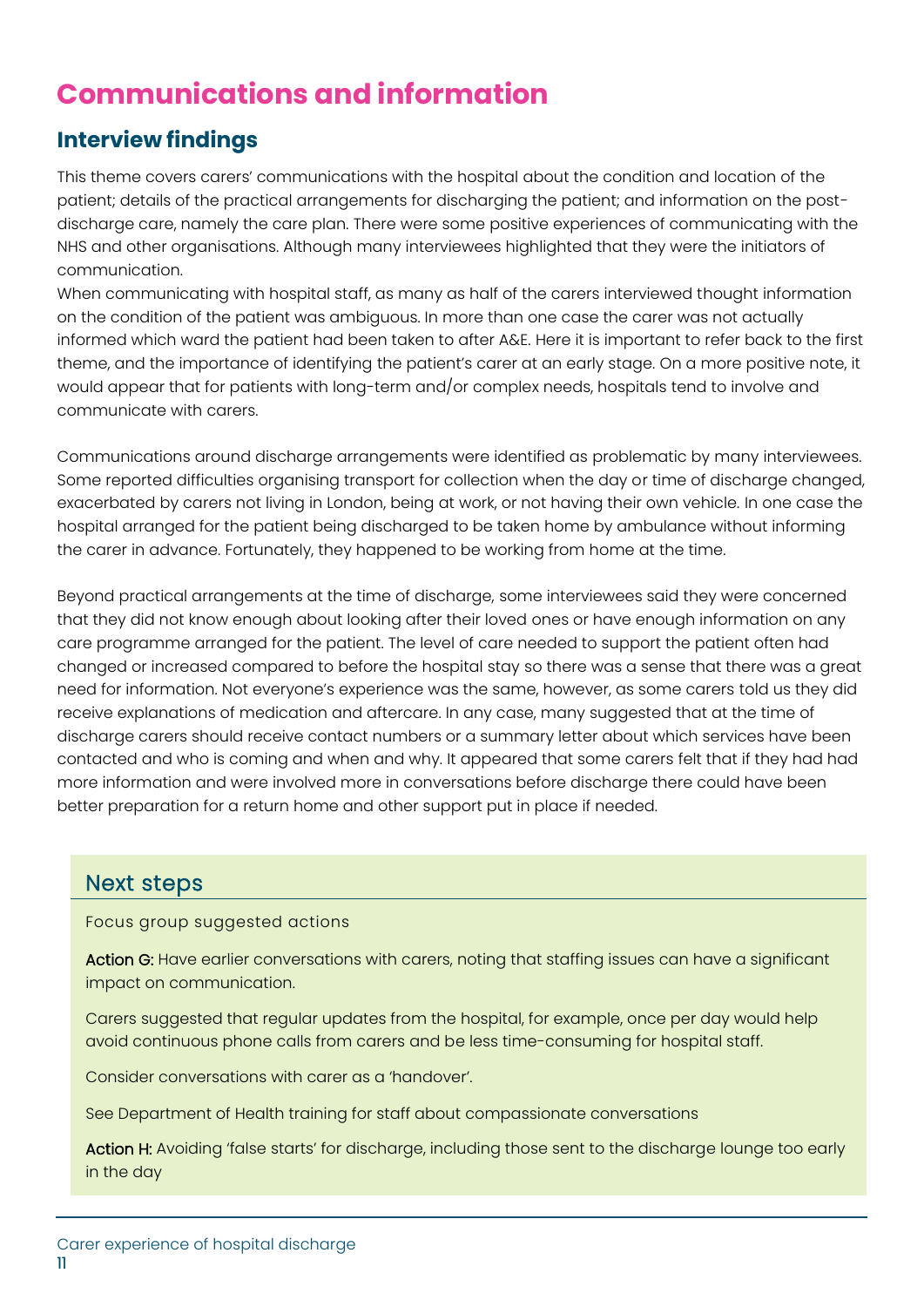## **Communications and information**

### **Interview findings**

This theme covers carers' communications with the hospital about the condition and location of the patient; details of the practical arrangements for discharging the patient; and information on the postdischarge care, namely the care plan. There were some positive experiences of communicating with the NHS and other organisations. Although many interviewees highlighted that they were the initiators of communication.

When communicating with hospital staff, as many as half of the carers interviewed thought information on the condition of the patient was ambiguous. In more than one case the carer was not actually informed which ward the patient had been taken to after A&E. Here it is important to refer back to the first theme, and the importance of identifying the patient's carer at an early stage. On a more positive note, it would appear that for patients with long-term and/or complex needs, hospitals tend to involve and communicate with carers.

Communications around discharge arrangements were identified as problematic by many interviewees. Some reported difficulties organising transport for collection when the day or time of discharge changed, exacerbated by carers not living in London, being at work, or not having their own vehicle. In one case the hospital arranged for the patient being discharged to be taken home by ambulance without informing the carer in advance. Fortunately, they happened to be working from home at the time.

Beyond practical arrangements at the time of discharge, some interviewees said they were concerned that they did not know enough about looking after their loved ones or have enough information on any care programme arranged for the patient. The level of care needed to support the patient often had changed or increased compared to before the hospital stay so there was a sense that there was a great need for information. Not everyone's experience was the same, however, as some carers told us they did receive explanations of medication and aftercare. In any case, many suggested that at the time of discharge carers should receive contact numbers or a summary letter about which services have been contacted and who is coming and when and why. It appeared that some carers felt that if they had had more information and were involved more in conversations before discharge there could have been better preparation for a return home and other support put in place if needed.

### Next steps

Focus group suggested actions

Action G: Have earlier conversations with carers, noting that staffing issues can have a significant impact on communication.

Carers suggested that regular updates from the hospital, for example, once per day would help avoid continuous phone calls from carers and be less time-consuming for hospital staff.

Consider conversations with carer as a 'handover'.

See Department of Health training for staff about compassionate conversations

Action H: Avoiding 'false starts' for discharge, including those sent to the discharge lounge too early in the day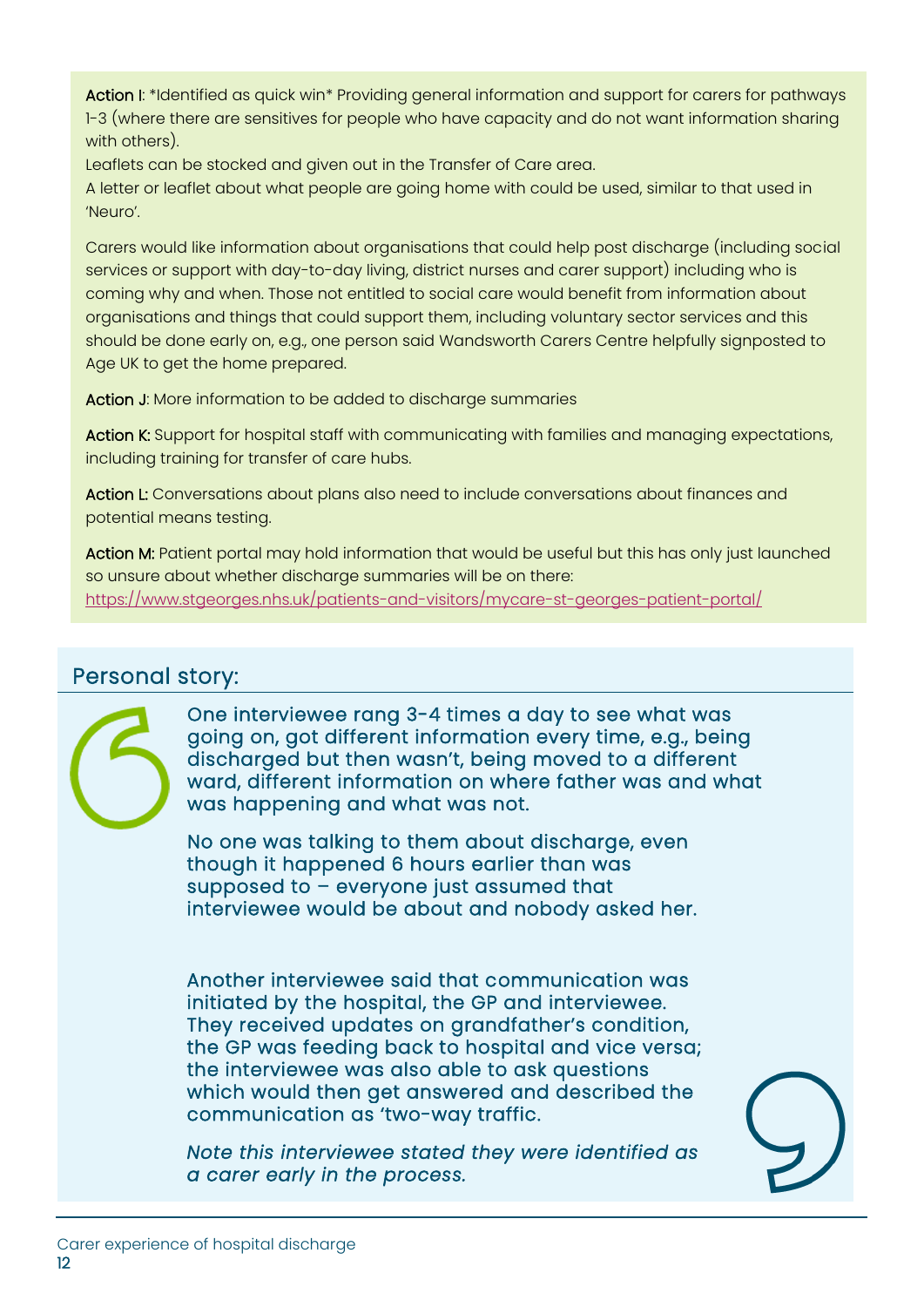Action I: \*Identified as quick win\* Providing general information and support for carers for pathways 1-3 (where there are sensitives for people who have capacity and do not want information sharing with others).

Leaflets can be stocked and given out in the Transfer of Care area.

A letter or leaflet about what people are going home with could be used, similar to that used in 'Neuro'.

Carers would like information about organisations that could help post discharge (including social services or support with day-to-day living, district nurses and carer support) including who is coming why and when. Those not entitled to social care would benefit from information about organisations and things that could support them, including voluntary sector services and this should be done early on, e.g., one person said Wandsworth Carers Centre helpfully signposted to Age UK to get the home prepared.

Action J: More information to be added to discharge summaries

Action K: Support for hospital staff with communicating with families and managing expectations, including training for transfer of care hubs.

Action L: Conversations about plans also need to include conversations about finances and potential means testing.

Action M: Patient portal may hold information that would be useful but this has only just launched so unsure about whether discharge summaries will be on there: <https://www.stgeorges.nhs.uk/patients-and-visitors/mycare-st-georges-patient-portal/>

### Personal story:



One interviewee rang 3-4 times a day to see what was going on, got different information every time, e.g., being discharged but then wasn't, being moved to a different ward, different information on where father was and what was happening and what was not.

No one was talking to them about discharge, even though it happened 6 hours earlier than was supposed to – everyone just assumed that interviewee would be about and nobody asked her.

Another interviewee said that communication was initiated by the hospital, the GP and interviewee. They received updates on grandfather's condition, the GP was feeding back to hospital and vice versa; the interviewee was also able to ask questions which would then get answered and described the communication as 'two-way traffic.

*Note this interviewee stated they were identified as a carer early in the process.*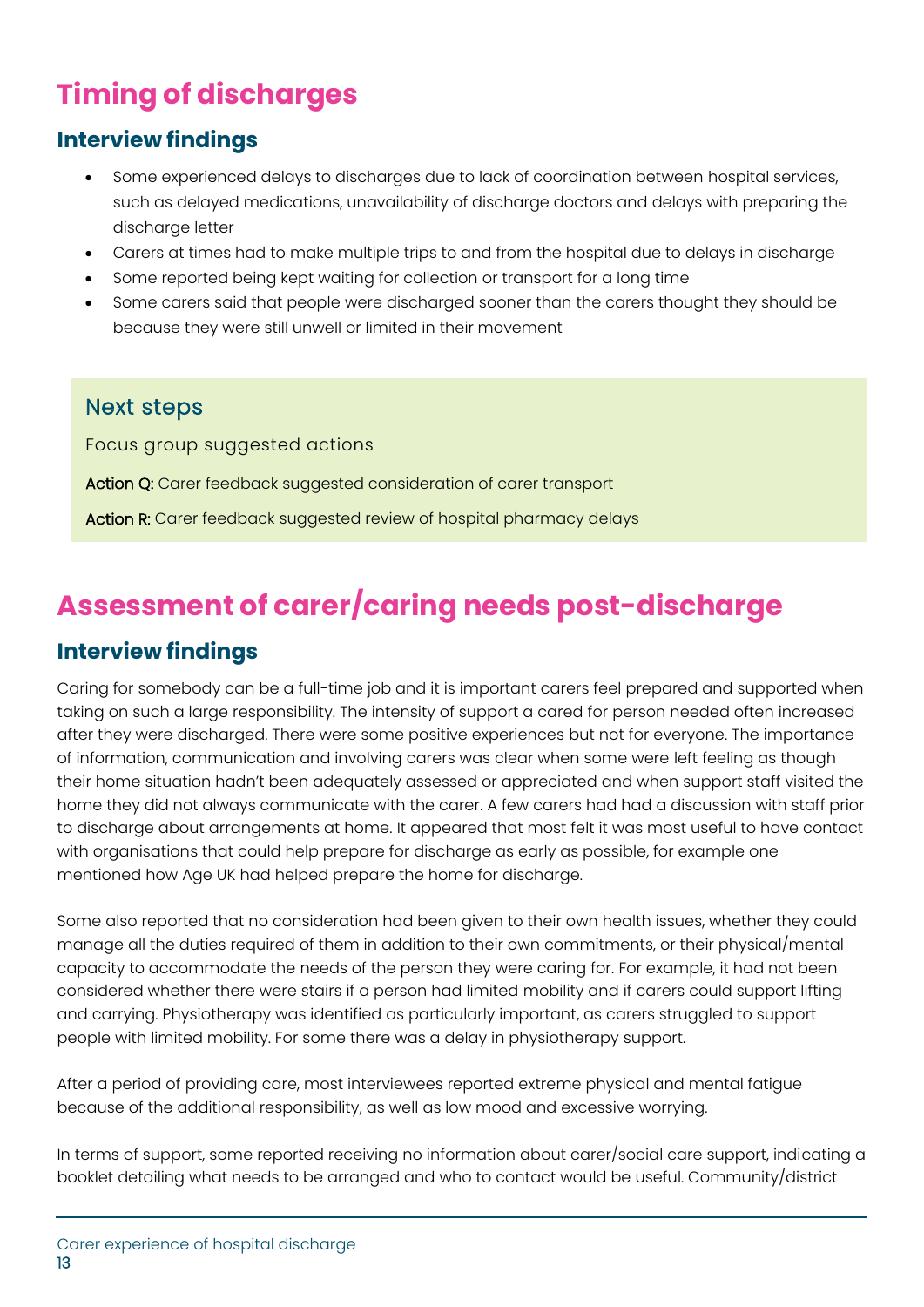## **Timing of discharges**

### **Interview findings**

- Some experienced delays to discharges due to lack of coordination between hospital services, such as delayed medications, unavailability of discharge doctors and delays with preparing the discharge letter
- Carers at times had to make multiple trips to and from the hospital due to delays in discharge
- Some reported being kept waiting for collection or transport for a long time
- Some carers said that people were discharged sooner than the carers thought they should be because they were still unwell or limited in their movement

### Next steps

Focus group suggested actions

Action Q: Carer feedback suggested consideration of carer transport

Action R: Carer feedback suggested review of hospital pharmacy delays

## **Assessment of carer/caring needs post-discharge**

### **Interview findings**

Caring for somebody can be a full-time job and it is important carers feel prepared and supported when taking on such a large responsibility. The intensity of support a cared for person needed often increased after they were discharged. There were some positive experiences but not for everyone. The importance of information, communication and involving carers was clear when some were left feeling as though their home situation hadn't been adequately assessed or appreciated and when support staff visited the home they did not always communicate with the carer. A few carers had had a discussion with staff prior to discharge about arrangements at home. It appeared that most felt it was most useful to have contact with organisations that could help prepare for discharge as early as possible, for example one mentioned how Age UK had helped prepare the home for discharge.

Some also reported that no consideration had been given to their own health issues, whether they could manage all the duties required of them in addition to their own commitments, or their physical/mental capacity to accommodate the needs of the person they were caring for. For example, it had not been considered whether there were stairs if a person had limited mobility and if carers could support lifting and carrying. Physiotherapy was identified as particularly important, as carers struggled to support people with limited mobility. For some there was a delay in physiotherapy support.

After a period of providing care, most interviewees reported extreme physical and mental fatigue because of the additional responsibility, as well as low mood and excessive worrying.

In terms of support, some reported receiving no information about carer/social care support, indicating a booklet detailing what needs to be arranged and who to contact would be useful. Community/district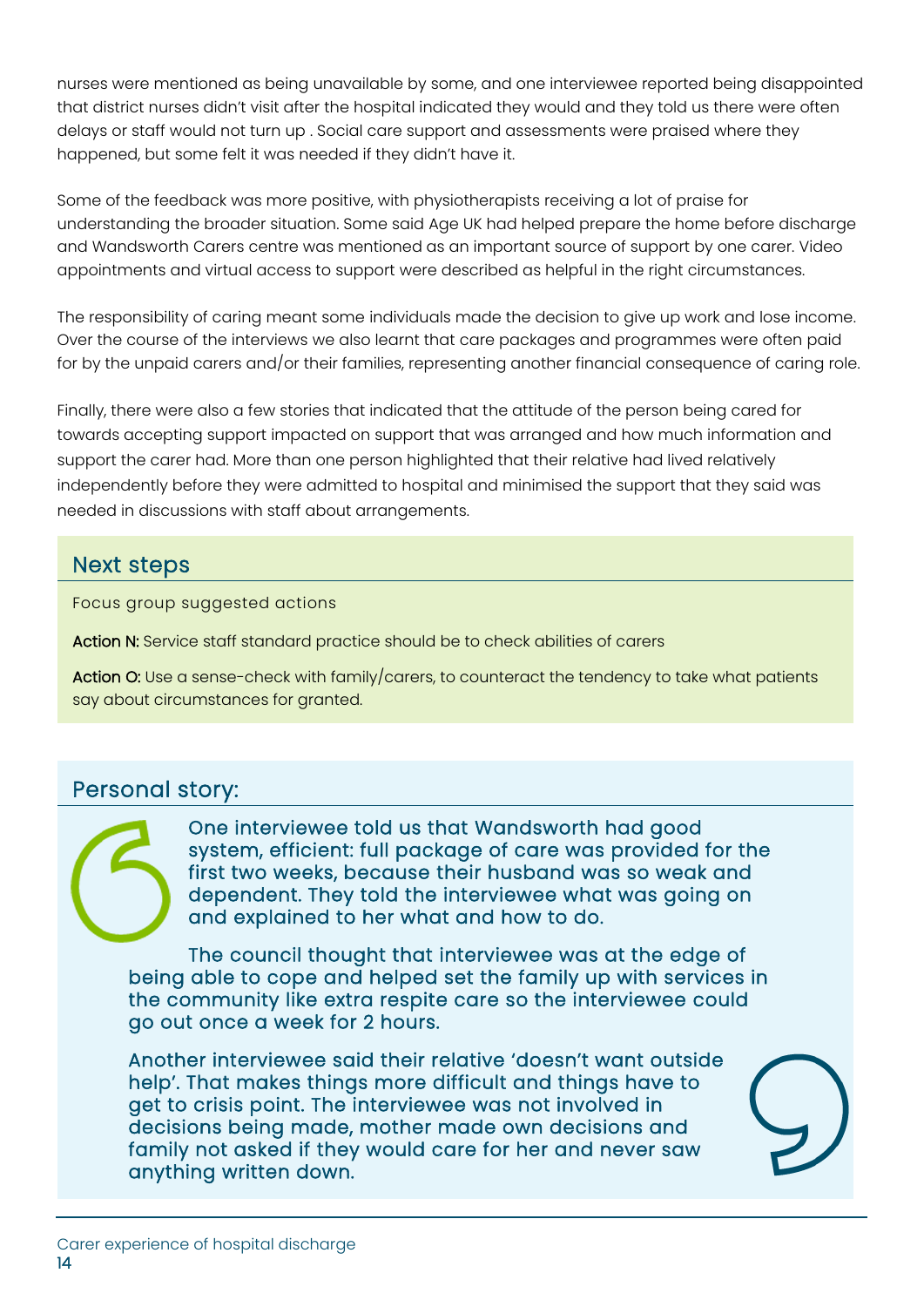nurses were mentioned as being unavailable by some, and one interviewee reported being disappointed that district nurses didn't visit after the hospital indicated they would and they told us there were often delays or staff would not turn up . Social care support and assessments were praised where they happened, but some felt it was needed if they didn't have it.

Some of the feedback was more positive, with physiotherapists receiving a lot of praise for understanding the broader situation. Some said Age UK had helped prepare the home before discharge and Wandsworth Carers centre was mentioned as an important source of support by one carer. Video appointments and virtual access to support were described as helpful in the right circumstances.

The responsibility of caring meant some individuals made the decision to give up work and lose income. Over the course of the interviews we also learnt that care packages and programmes were often paid for by the unpaid carers and/or their families, representing another financial consequence of caring role.

Finally, there were also a few stories that indicated that the attitude of the person being cared for towards accepting support impacted on support that was arranged and how much information and support the carer had. More than one person highlighted that their relative had lived relatively independently before they were admitted to hospital and minimised the support that they said was needed in discussions with staff about arrangements.

### Next steps

Focus group suggested actions

Action N: Service staff standard practice should be to check abilities of carers

Action O: Use a sense-check with family/carers, to counteract the tendency to take what patients say about circumstances for granted.

### Personal story:

One interviewee told us that Wandsworth had good system, efficient: full package of care was provided for the first two weeks, because their husband was so weak and dependent. They told the interviewee what was going on and explained to her what and how to do.

The council thought that interviewee was at the edge of being able to cope and helped set the family up with services in the community like extra respite care so the interviewee could go out once a week for 2 hours.

Another interviewee said their relative 'doesn't want outside help'. That makes things more difficult and things have to get to crisis point. The interviewee was not involved in decisions being made, mother made own decisions and family not asked if they would care for her and never saw anything written down.

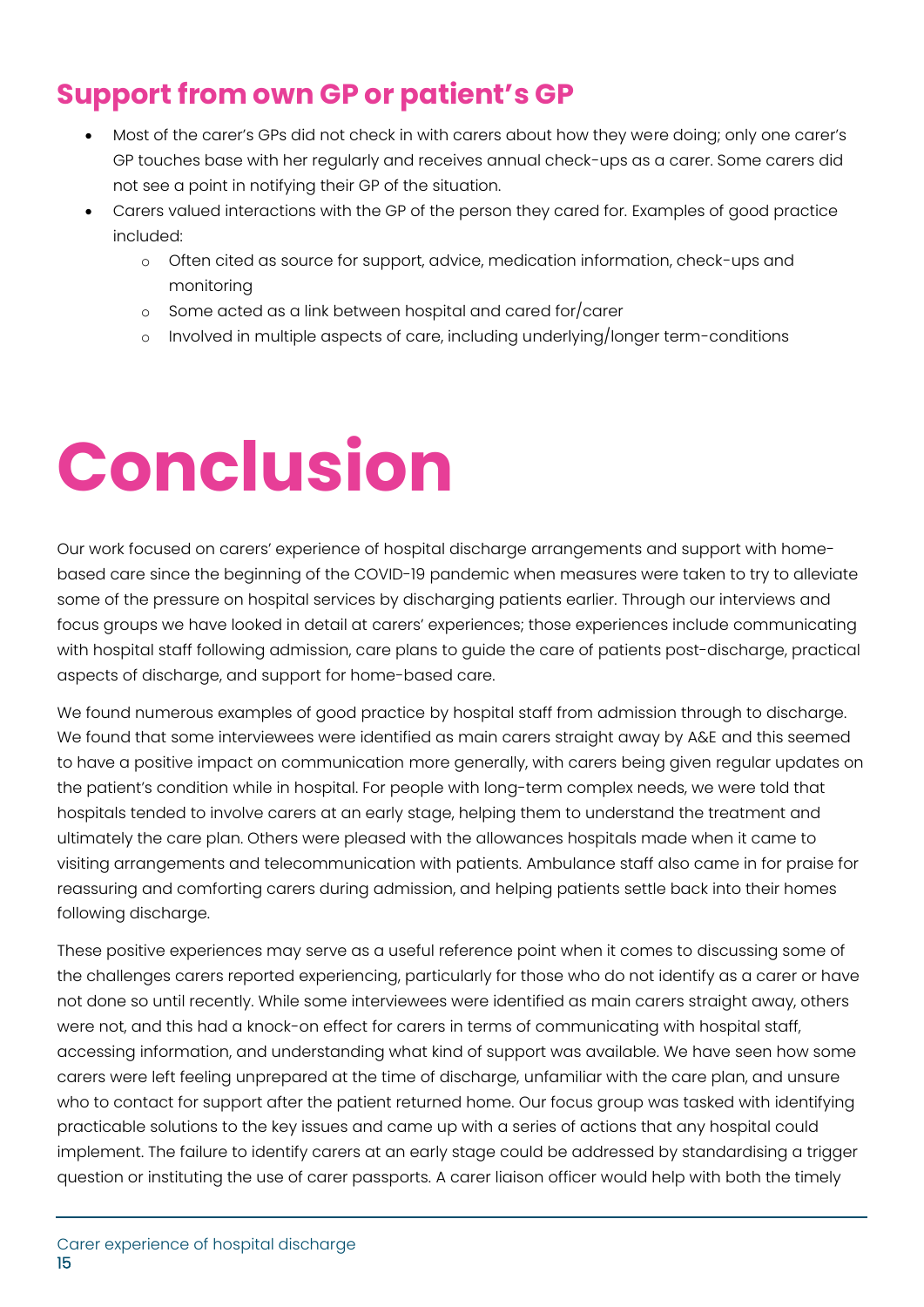### **Support from own GP or patient's GP**

- Most of the carer's GPs did not check in with carers about how they were doing; only one carer's GP touches base with her regularly and receives annual check-ups as a carer. Some carers did not see a point in notifying their GP of the situation.
- Carers valued interactions with the GP of the person they cared for. Examples of good practice included:
	- o Often cited as source for support, advice, medication information, check-ups and monitoring
	- o Some acted as a link between hospital and cared for/carer
	- o Involved in multiple aspects of care, including underlying/longer term-conditions

## **Conclusion**

Our work focused on carers' experience of hospital discharge arrangements and support with homebased care since the beginning of the COVID-19 pandemic when measures were taken to try to alleviate some of the pressure on hospital services by discharging patients earlier. Through our interviews and focus groups we have looked in detail at carers' experiences; those experiences include communicating with hospital staff following admission, care plans to guide the care of patients post-discharge, practical aspects of discharge, and support for home-based care.

We found numerous examples of good practice by hospital staff from admission through to discharge. We found that some interviewees were identified as main carers straight away by A&E and this seemed to have a positive impact on communication more generally, with carers being given regular updates on the patient's condition while in hospital. For people with long-term complex needs, we were told that hospitals tended to involve carers at an early stage, helping them to understand the treatment and ultimately the care plan. Others were pleased with the allowances hospitals made when it came to visiting arrangements and telecommunication with patients. Ambulance staff also came in for praise for reassuring and comforting carers during admission, and helping patients settle back into their homes following discharge.

These positive experiences may serve as a useful reference point when it comes to discussing some of the challenges carers reported experiencing, particularly for those who do not identify as a carer or have not done so until recently. While some interviewees were identified as main carers straight away, others were not, and this had a knock-on effect for carers in terms of communicating with hospital staff, accessing information, and understanding what kind of support was available. We have seen how some carers were left feeling unprepared at the time of discharge, unfamiliar with the care plan, and unsure who to contact for support after the patient returned home. Our focus group was tasked with identifying practicable solutions to the key issues and came up with a series of actions that any hospital could implement. The failure to identify carers at an early stage could be addressed by standardising a trigger question or instituting the use of carer passports. A carer liaison officer would help with both the timely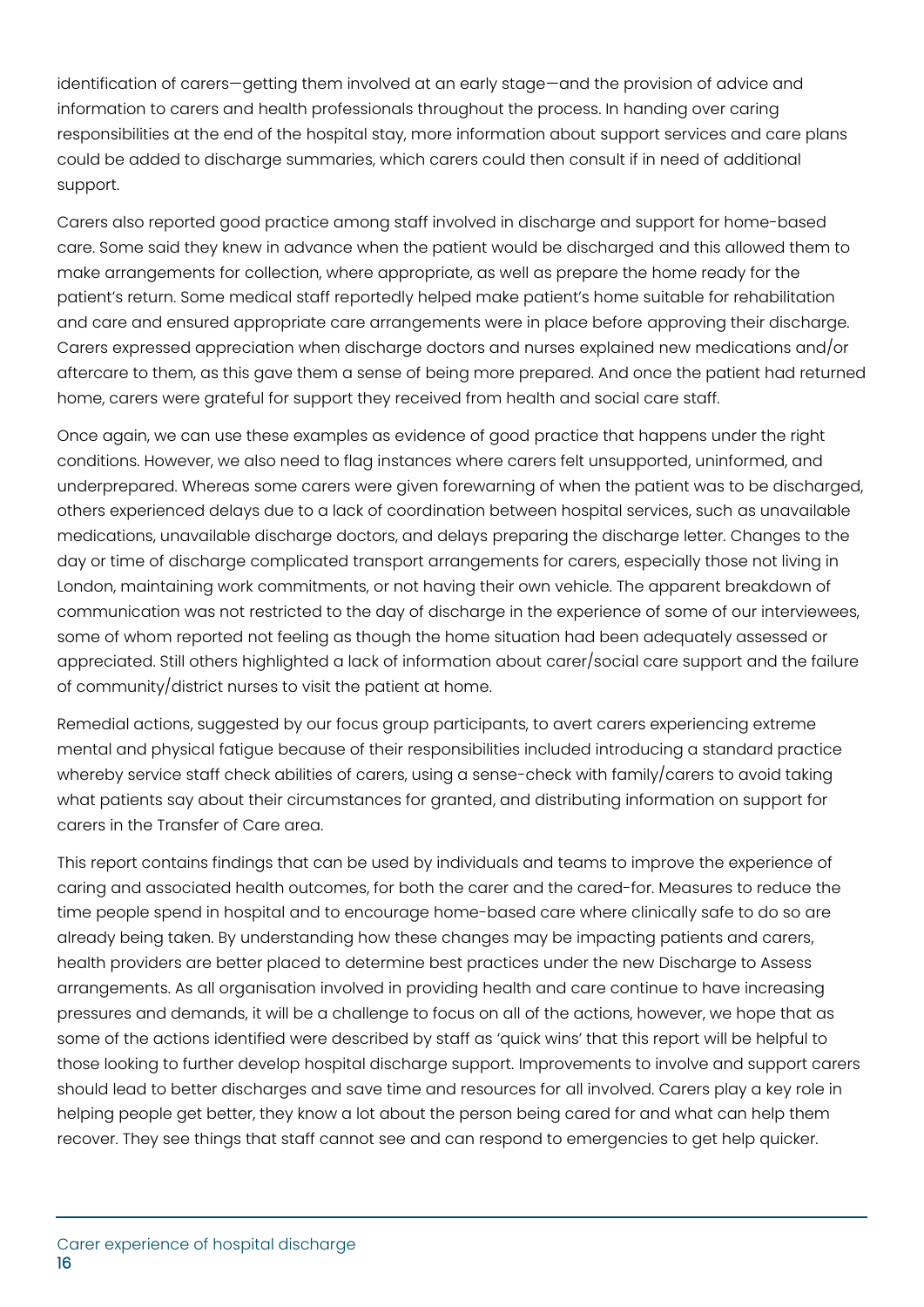identification of carers—getting them involved at an early stage—and the provision of advice and information to carers and health professionals throughout the process. In handing over caring responsibilities at the end of the hospital stay, more information about support services and care plans could be added to discharge summaries, which carers could then consult if in need of additional support.

Carers also reported good practice among staff involved in discharge and support for home-based care. Some said they knew in advance when the patient would be discharged and this allowed them to make arrangements for collection, where appropriate, as well as prepare the home ready for the patient's return. Some medical staff reportedly helped make patient's home suitable for rehabilitation and care and ensured appropriate care arrangements were in place before approving their discharge. Carers expressed appreciation when discharge doctors and nurses explained new medications and/or aftercare to them, as this gave them a sense of being more prepared. And once the patient had returned home, carers were grateful for support they received from health and social care staff.

Once again, we can use these examples as evidence of good practice that happens under the right conditions. However, we also need to flag instances where carers felt unsupported, uninformed, and underprepared. Whereas some carers were given forewarning of when the patient was to be discharged, others experienced delays due to a lack of coordination between hospital services, such as unavailable medications, unavailable discharge doctors, and delays preparing the discharge letter. Changes to the day or time of discharge complicated transport arrangements for carers, especially those not living in London, maintaining work commitments, or not having their own vehicle. The apparent breakdown of communication was not restricted to the day of discharge in the experience of some of our interviewees, some of whom reported not feeling as though the home situation had been adequately assessed or appreciated. Still others highlighted a lack of information about carer/social care support and the failure of community/district nurses to visit the patient at home.

Remedial actions, suggested by our focus group participants, to avert carers experiencing extreme mental and physical fatigue because of their responsibilities included introducing a standard practice whereby service staff check abilities of carers, using a sense-check with family/carers to avoid taking what patients say about their circumstances for granted, and distributing information on support for carers in the Transfer of Care area.

This report contains findings that can be used by individuals and teams to improve the experience of caring and associated health outcomes, for both the carer and the cared-for. Measures to reduce the time people spend in hospital and to encourage home-based care where clinically safe to do so are already being taken. By understanding how these changes may be impacting patients and carers, health providers are better placed to determine best practices under the new Discharge to Assess arrangements. As all organisation involved in providing health and care continue to have increasing pressures and demands, it will be a challenge to focus on all of the actions, however, we hope that as some of the actions identified were described by staff as 'quick wins' that this report will be helpful to those looking to further develop hospital discharge support. Improvements to involve and support carers should lead to better discharges and save time and resources for all involved. Carers play a key role in helping people get better, they know a lot about the person being cared for and what can help them recover. They see things that staff cannot see and can respond to emergencies to get help quicker.